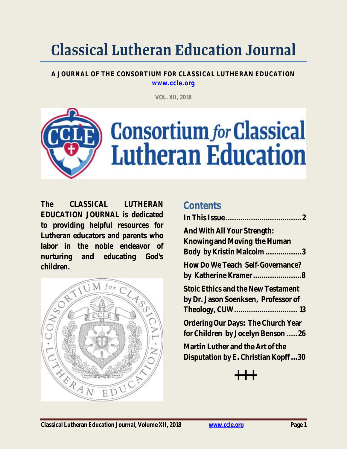# **Classical Lutheran Education Journal**

**A JOURNAL OF THE CONSORTIUM FOR CLASSICAL LUTHERAN EDUCATION [www.ccle.org](http://www.ccle.org/)**

**VOL. XII, 2018**



**Contents**

**The CLASSICAL LUTHERAN EDUCATION JOURNAL is dedicated to providing helpful resources for Lutheran educators and parents who labor in the noble endeavor of nurturing and educating God's children.**



# **[In This Issue....................................2](#page-1-0) [And With All Your Strength:](#page-2-0)  [Knowing and Moving the Human](#page-2-0)  [Body by Kristin Malcolm](#page-2-0) .................3 [How Do We Teach Self-Governance?](#page-7-0)  [by Katherine Kramer.......................8](#page-7-0) [Stoic Ethics and the New Testament](#page-12-0)  [by Dr. Jason Soenksen, Professor of](#page-12-0)  [Theology, CUW..............................](#page-12-0) 13 [Ordering Our Days: The Church Year](#page-25-0)  [for Children by Jocelyn Benson](#page-25-0) .....26 [Martin Luther and the Art of the](#page-29-0)  [Disputation by E. Christian Kopff](#page-29-0) ...30**

**+++**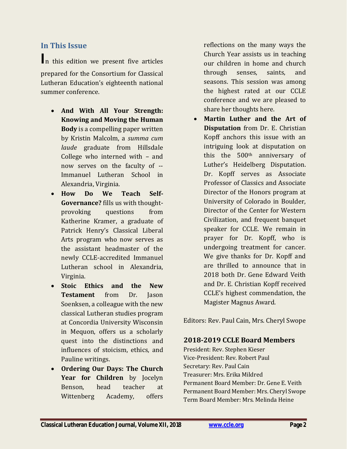#### <span id="page-1-0"></span>**In This Issue**

**I**<sup>n</sup> this edition we present five articles prepared for the Consortium for Classical Lutheran Education's eighteenth national summer conference.

- **And With All Your Strength: Knowing and Moving the Human Body** is a compelling paper written by Kristin Malcolm, a *summa cum laude* graduate from Hillsdale College who interned with – and now serves on the faculty of -- Immanuel Lutheran School in Alexandria, Virginia.
- **How Do We Teach Self-Governance?** fills us with thoughtprovoking questions from Katherine Kramer, a graduate of Patrick Henry's Classical Liberal Arts program who now serves as the assistant headmaster of the newly CCLE-accredited Immanuel Lutheran school in Alexandria, Virginia.
- **Stoic Ethics and the New Testament** from Dr. Jason Soenksen, a colleague with the new classical Lutheran studies program at Concordia University Wisconsin in Mequon, offers us a scholarly quest into the distinctions and influences of stoicism, ethics, and Pauline writings.
- **Ordering Our Days: The Church Year for Children** by Jocelyn Benson, head teacher at Wittenberg Academy, offers

reflections on the many ways the Church Year assists us in teaching our children in home and church through senses, saints, and seasons. This session was among the highest rated at our CCLE conference and we are pleased to share her thoughts here.

• **Martin Luther and the Art of Disputation** from Dr. E. Christian Kopff anchors this issue with an intriguing look at disputation on this the 500th anniversary of Luther's Heidelberg Disputation. Dr. Kopff serves as Associate Professor of Classics and Associate Director of the Honors program at University of Colorado in Boulder, Director of the Center for Western Civilization, and frequent banquet speaker for CCLE. We remain in prayer for Dr. Kopff, who is undergoing treatment for cancer. We give thanks for Dr. Kopff and are thrilled to announce that in 2018 both Dr. Gene Edward Veith and Dr. E. Christian Kopff received CCLE's highest commendation, the Magister Magnus Award.

Editors: Rev. Paul Cain, Mrs. Cheryl Swope

#### **2018-2019 CCLE Board Members**

President: Rev. Stephen Kieser Vice-President: Rev. Robert Paul Secretary: Rev. Paul Cain Treasurer: Mrs. Erika Mildred Permanent Board Member: Dr. Gene E. Veith Permanent Board Member: Mrs. Cheryl Swope Term Board Member: Mrs. Melinda Heine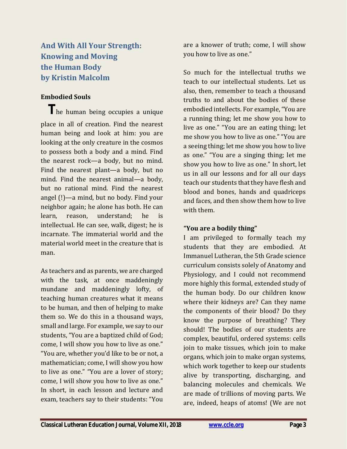<span id="page-2-0"></span>**And With All Your Strength: Knowing and Moving the Human Body by Kristin Malcolm**

#### **Embodied Souls**

 **T**he human being occupies a unique place in all of creation. Find the nearest human being and look at him: you are looking at the only creature in the cosmos to possess both a body and a mind. Find the nearest rock—a body, but no mind. Find the nearest plant—a body, but no mind. Find the nearest animal—a body, but no rational mind. Find the nearest angel (!)—a mind, but no body. Find your neighbor again; he alone has both. He can learn, reason, understand; he is intellectual. He can see, walk, digest; he is incarnate. The immaterial world and the material world meet in the creature that is man.

As teachers and as parents, we are charged with the task, at once maddeningly mundane and maddeningly lofty, of teaching human creatures what it means to be human, and then of helping to make them so. We do this in a thousand ways, small and large. For example, we say to our students, "You are a baptized child of God; come, I will show you how to live as one." "You are, whether you'd like to be or not, a mathematician; come, I will show you how to live as one." "You are a lover of story; come, I will show you how to live as one." In short, in each lesson and lecture and exam, teachers say to their students: "You

are a knower of truth; come, I will show you how to live as one."

So much for the intellectual truths we teach to our intellectual students. Let us also, then, remember to teach a thousand truths to and about the bodies of these embodied intellects. For example, "You are a running thing; let me show you how to live as one." "You are an eating thing; let me show you how to live as one." "You are a seeing thing; let me show you how to live as one." "You are a singing thing; let me show you how to live as one." In short, let us in all our lessons and for all our days teach our students that they have flesh and blood and bones, hands and quadriceps and faces, and then show them how to live with them.

#### **"You are a bodily thing"**

I am privileged to formally teach my students that they are embodied. At Immanuel Lutheran, the 5th Grade science curriculum consists solely of Anatomy and Physiology, and I could not recommend more highly this formal, extended study of the human body. Do our children know where their kidneys are? Can they name the components of their blood? Do they know the purpose of breathing? They should! The bodies of our students are complex, beautiful, ordered systems: cells join to make tissues, which join to make organs, which join to make organ systems, which work together to keep our students alive by transporting, discharging, and balancing molecules and chemicals. We are made of trillions of moving parts. We are, indeed, heaps of atoms! (We are not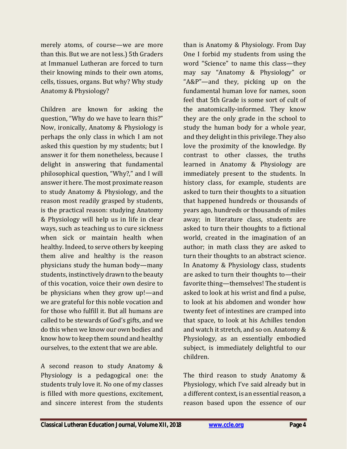merely atoms, of course—we are more than this. But we are not less.) 5th Graders at Immanuel Lutheran are forced to turn their knowing minds to their own atoms, cells, tissues, organs. But why? Why study Anatomy & Physiology?

Children are known for asking the question, "Why do we have to learn this?" Now, ironically, Anatomy & Physiology is perhaps the only class in which I am not asked this question by my students; but I answer it for them nonetheless, because I delight in answering that fundamental philosophical question, "Why?," and I will answer it here. The most proximate reason to study Anatomy & Physiology, and the reason most readily grasped by students, is the practical reason: studying Anatomy & Physiology will help us in life in clear ways, such as teaching us to cure sickness when sick or maintain health when healthy. Indeed, to serve others by keeping them alive and healthy is the reason physicians study the human body—many students, instinctively drawn to the beauty of this vocation, voice their own desire to be physicians when they grow up!—and we are grateful for this noble vocation and for those who fulfill it. But all humans are called to be stewards of God's gifts, and we do this when we know our own bodies and know how to keep them sound and healthy ourselves, to the extent that we are able.

A second reason to study Anatomy & Physiology is a pedagogical one: the students truly love it. No one of my classes is filled with more questions, excitement, and sincere interest from the students

than is Anatomy & Physiology. From Day One I forbid my students from using the word "Science" to name this class—they may say "Anatomy & Physiology" or "A&P"—and they, picking up on the fundamental human love for names, soon feel that 5th Grade is some sort of cult of the anatomically-informed. They know they are the only grade in the school to study the human body for a whole year, and they delight in this privilege. They also love the proximity of the knowledge. By contrast to other classes, the truths learned in Anatomy & Physiology are immediately present to the students. In history class, for example, students are asked to turn their thoughts to a situation that happened hundreds or thousands of years ago, hundreds or thousands of miles away; in literature class, students are asked to turn their thoughts to a fictional world, created in the imagination of an author; in math class they are asked to turn their thoughts to an abstract science. In Anatomy & Physiology class, students are asked to turn their thoughts to—their favorite thing—themselves! The student is asked to look at his wrist and find a pulse, to look at his abdomen and wonder how twenty feet of intestines are cramped into that space, to look at his Achilles tendon and watch it stretch, and so on. Anatomy & Physiology, as an essentially embodied subject, is immediately delightful to our children.

The third reason to study Anatomy & Physiology, which I've said already but in a different context, is an essential reason, a reason based upon the essence of our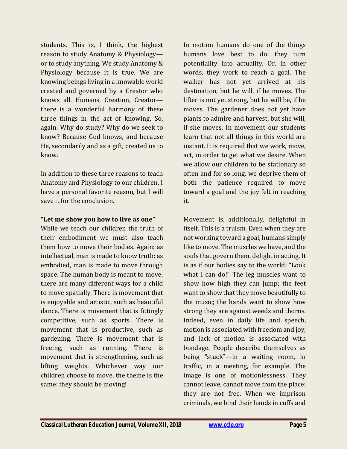students. This is, I think, the highest reason to study Anatomy & Physiology or to study anything. We study Anatomy & Physiology because it is true. We are knowing beings living in a knowable world created and governed by a Creator who knows all. Humans, Creation, Creator there is a wonderful harmony of these three things in the act of knowing. So, again: Why do study? Why do we seek to know? Because God knows, and because He, secondarily and as a gift, created us to know.

In addition to these three reasons to teach Anatomy and Physiology to our children, I have a personal favorite reason, but I will save it for the conclusion.

#### **"Let me show you how to live as one"**

While we teach our children the truth of their embodiment we must also teach them how to move their bodies. Again: as intellectual, man is made to know truth; as embodied, man is made to move through space. The human body is meant to move; there are many different ways for a child to move spatially. There is movement that is enjoyable and artistic, such as beautiful dance. There is movement that is fittingly competitive, such as sports. There is movement that is productive, such as gardening. There is movement that is freeing, such as running. There is movement that is strengthening, such as lifting weights. Whichever way our children choose to move, the theme is the same: they should be moving!

In motion humans do one of the things humans love best to do: they turn potentiality into actuality. Or, in other words, they work to reach a goal. The walker has not yet arrived at his destination, but he will, if he moves. The lifter is not yet strong, but he will be, if he moves. The gardener does not yet have plants to admire and harvest, but she will, if she moves. In movement our students learn that not all things in this world are instant. It is required that we work, move, act, in order to get what we desire. When we allow our children to be stationary so often and for so long, we deprive them of both the patience required to move toward a goal and the joy felt in reaching it.

Movement is, additionally, delightful in itself. This is a truism. Even when they are not working toward a goal, humans simply like to move. The muscles we have, and the souls that govern them, delight in acting. It is as if our bodies say to the world: "Look what I can do!" The leg muscles want to show how high they can jump; the feet want to show that they move beautifully to the music; the hands want to show how strong they are against weeds and thorns. Indeed, even in daily life and speech, motion is associated with freedom and joy, and lack of motion is associated with bondage. People describe themselves as being "stuck"—in a waiting room, in traffic, in a meeting, for example. The image is one of motionlessness. They cannot leave, cannot move from the place: they are not free. When we imprison criminals, we bind their hands in cuffs and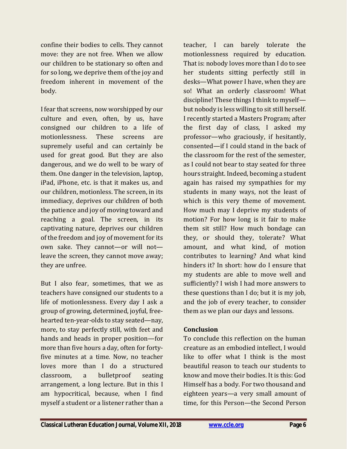confine their bodies to cells. They cannot move: they are not free. When we allow our children to be stationary so often and for so long, we deprive them of the joy and freedom inherent in movement of the body.

I fear that screens, now worshipped by our culture and even, often, by us, have consigned our children to a life of motionlessness. These screens are supremely useful and can certainly be used for great good. But they are also dangerous, and we do well to be wary of them. One danger in the television, laptop, iPad, iPhone, etc. is that it makes us, and our children, motionless. The screen, in its immediacy, deprives our children of both the patience and joy of moving toward and reaching a goal. The screen, in its captivating nature, deprives our children of the freedom and joy of movement for its own sake. They cannot—or will not leave the screen, they cannot move away; they are unfree.

But I also fear, sometimes, that we as teachers have consigned our students to a life of motionlessness. Every day I ask a group of growing, determined, joyful, freehearted ten-year-olds to stay seated—nay, more, to stay perfectly still, with feet and hands and heads in proper position—for more than five hours a day, often for fortyfive minutes at a time. Now, no teacher loves more than I do a structured classroom, a bulletproof seating arrangement, a long lecture. But in this I am hypocritical, because, when I find myself a student or a listener rather than a

teacher, I can barely tolerate the motionlessness required by education. That is: nobody loves more than I do to see her students sitting perfectly still in desks—What power I have, when they are so! What an orderly classroom! What discipline! These things I think to myself but nobody is less willing to sit still herself. I recently started a Masters Program; after the first day of class, I asked my professor—who graciously, if hesitantly, consented—if I could stand in the back of the classroom for the rest of the semester, as I could not bear to stay seated for three hours straight. Indeed, becoming a student again has raised my sympathies for my students in many ways, not the least of which is this very theme of movement. How much may I deprive my students of motion? For how long is it fair to make them sit still? How much bondage can they, or should they, tolerate? What amount, and what kind, of motion contributes to learning? And what kind hinders it? In short: how do I ensure that my students are able to move well and sufficiently? I wish I had more answers to these questions than I do; but it is my job, and the job of every teacher, to consider them as we plan our days and lessons.

#### **Conclusion**

To conclude this reflection on the human creature as an embodied intellect, I would like to offer what I think is the most beautiful reason to teach our students to know and move their bodies. It is this: God Himself has a body. For two thousand and eighteen years—a very small amount of time, for this Person—the Second Person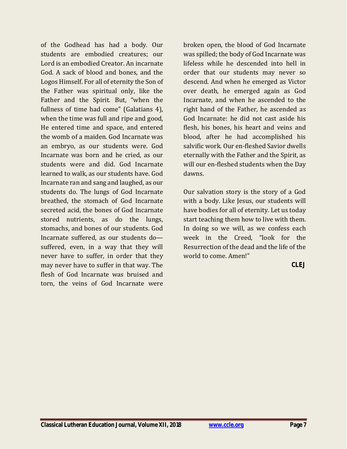of the Godhead has had a body. Our students are embodied creatures; our Lord is an embodied Creator. An incarnate God. A sack of blood and bones, and the Logos Himself. For all of eternity the Son of the Father was spiritual only, like the Father and the Spirit. But, "when the fullness of time had come" (Galatians 4), when the time was full and ripe and good, He entered time and space, and entered the womb of a maiden. God Incarnate was an embryo, as our students were. God Incarnate was born and he cried, as our students were and did. God Incarnate learned to walk, as our students have. God Incarnate ran and sang and laughed, as our students do. The lungs of God Incarnate breathed, the stomach of God Incarnate secreted acid, the bones of God Incarnate stored nutrients, as do the lungs, stomachs, and bones of our students. God Incarnate suffered, as our students do suffered, even, in a way that they will never have to suffer, in order that they may never have to suffer in that way. The flesh of God Incarnate was bruised and torn, the veins of God Incarnate were

broken open, the blood of God Incarnate was spilled; the body of God Incarnate was lifeless while he descended into hell in order that our students may never so descend. And when he emerged as Victor over death, he emerged again as God Incarnate, and when he ascended to the right hand of the Father, he ascended as God Incarnate: he did not cast aside his flesh, his bones, his heart and veins and blood, after he had accomplished his salvific work. Our en-fleshed Savior dwells eternally with the Father and the Spirit, as will our en-fleshed students when the Day dawns.

Our salvation story is the story of a God with a body. Like Jesus, our students will have bodies for all of eternity. Let us today start teaching them how to live with them. In doing so we will, as we confess each week in the Creed, "look for the Resurrection of the dead and the life of the world to come. Amen!"

**CLEJ**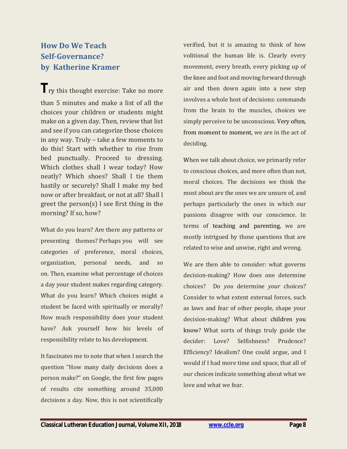### <span id="page-7-0"></span>**How Do We Teach Self-Governance? by Katherine Kramer**

**The Try this thought exercise: Take no more** than 5 minutes and make a list of all the choices your children or students might make on a given day. Then, review that list and see if you can categorize those choices in any way. Truly – take a few moments to do this! Start with whether to rise from bed punctually. Proceed to dressing. Which clothes shall I wear today? How neatly? Which shoes? Shall I tie them hastily or securely? Shall I make my bed now or after breakfast, or not at all? Shall I greet the person(s) I see first thing in the morning? If so, how?

What do you learn? Are there any patterns or presenting themes? Perhaps you will see categories of preference, moral choices, organization, personal needs, and so on. Then, examine what percentage of choices a day your student makes regarding category. What do you learn? Which choices might a student be faced with spiritually or morally? How much responsibility does your student have? Ask yourself how his levels of responsibility relate to his development.

It fascinates me to note that when I search the question "How many daily decisions does a person make?" on Google, the first few pages of results cite something around 35,000 decisions a day. Now, this is not scientifically verified, but it is amazing to think of how volitional the human life is. Clearly every movement, every breath, every picking up of the knee and foot and moving forward through air and then down again into a new step involves a whole host of decisions: commands from the brain to the muscles, choices we simply perceive to be unconscious. Very often, from moment to moment, we are in the act of deciding.

When we talk about choice, we primarily refer to conscious choices, and more often than not, moral choices. The decisions we think the most about are the ones we are unsure of, and perhaps particularly the ones in which our passions disagree with our conscience. In terms of teaching and parenting, we are mostly intrigued by those questions that are related to wise and unwise, right and wrong.

We are then able to consider: what governs decision-making? How does one determine choices? Do *you* determine *your* choices? Consider to what extent external forces, such as laws and fear of other people, shape your decision-making? What about children you know? What sorts of things truly guide the decider: Love? Selfishness? Prudence? Efficiency? Idealism? One could argue, and I would if I had more time and space, that all of our choices indicate something about what we love and what we fear.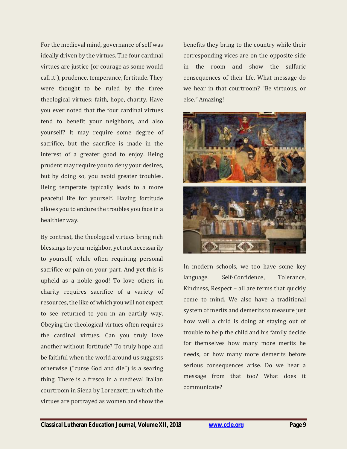For the medieval mind, governance of self was ideally driven by the virtues. The four cardinal virtues are justice (or courage as some would call it!), prudence, temperance, fortitude. They were thought to be ruled by the three theological virtues: faith, hope, charity. Have you ever noted that the four cardinal virtues tend to benefit your neighbors, and also yourself? It may require some degree of sacrifice, but the sacrifice is made in the interest of a greater good to enjoy. Being prudent may require you to deny your desires, but by doing so, you avoid greater troubles. Being temperate typically leads to a more peaceful life for yourself. Having fortitude allows you to endure the troubles you face in a healthier way.

By contrast, the theological virtues bring rich blessings to your neighbor, yet not necessarily to yourself, while often requiring personal sacrifice or pain on your part. And yet this is upheld as a noble good! To love others in charity requires sacrifice of a variety of resources, the like of which you will not expect to see returned to you in an earthly way. Obeying the theological virtues often requires the cardinal virtues. Can you truly love another without fortitude? To truly hope and be faithful when the world around us suggests otherwise ("curse God and die") is a searing thing. There is a fresco in a medieval Italian courtroom in Siena by Lorenzetti in which the virtues are portrayed as women and show the

benefits they bring to the country while their corresponding vices are on the opposite side in the room and show the sulfuric consequences of their life. What message do we hear in that courtroom? "Be virtuous, or else." Amazing!



In modern schools, we too have some key language. Self-Confidence, Tolerance, Kindness, Respect – all are terms that quickly come to mind. We also have a traditional system of merits and demerits to measure just how well a child is doing at staying out of trouble to help the child and his family decide for themselves how many more merits he needs, or how many more demerits before serious consequences arise. Do we hear a message from that too? What does it communicate?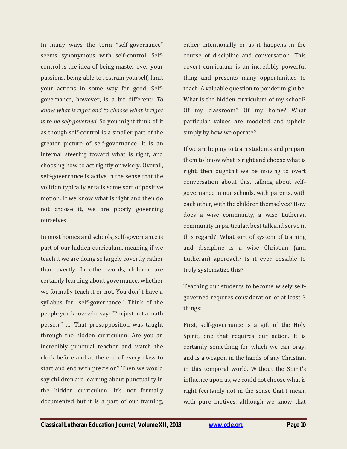In many ways the term "self-governance" seems synonymous with self-control. Selfcontrol is the idea of being master over your passions, being able to restrain yourself, limit your actions in some way for good. Selfgovernance, however, is a bit different: *To know what is right and to choose what is right is to be self-governed.* So you might think of it as though self-control is a smaller part of the greater picture of self-governance. It is an internal steering toward what is right, and choosing how to act rightly or wisely. Overall, self-governance is active in the sense that the volition typically entails some sort of positive motion. If we know what is right and then do not choose it, we are poorly governing ourselves.

In most homes and schools, self-governance is part of our hidden curriculum, meaning if we teach it we are doing so largely covertly rather than overtly. In other words, children are certainly learning about governance, whether we formally teach it or not. You don' t have a syllabus for "self-governance." Think of the people you know who say: "I'm just not a math person." …. That presupposition was taught through the hidden curriculum. Are you an incredibly punctual teacher and watch the clock before and at the end of every class to start and end with precision? Then we would say children are learning about punctuality in the hidden curriculum. It's not formally documented but it is a part of our training,

either intentionally or as it happens in the course of discipline and conversation. This covert curriculum is an incredibly powerful thing and presents many opportunities to teach. A valuable question to ponder might be: What is the hidden curriculum of my school? Of my classroom? Of my home? What particular values are modeled and upheld simply by how we operate?

If we are hoping to train students and prepare them to know what is right and choose what is right, then oughtn't we be moving to overt conversation about this, talking about selfgovernance in our schools, with parents, with each other, with the children themselves? How does a wise community, a wise Lutheran community in particular, best talk and serve in this regard? What sort of system of training and discipline is a wise Christian (and Lutheran) approach? Is it ever possible to truly systematize this?

Teaching our students to become wisely selfgoverned-requires consideration of at least 3 things:

First, self-governance is a gift of the Holy Spirit, one that requires our action. It is certainly something for which we can pray, and is a weapon in the hands of any Christian in this temporal world. Without the Spirit's influence upon us, we could not choose what is right (certainly not in the sense that I mean, with pure motives, although we know that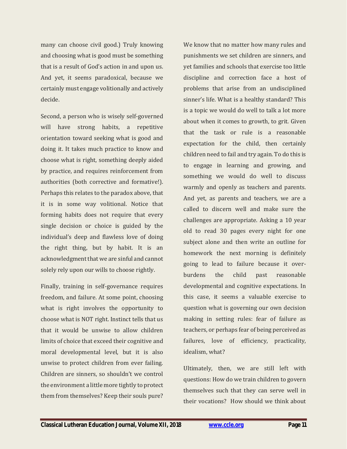many can choose civil good.) Truly knowing and choosing what is good must be something that is a result of God's action in and upon us. And yet, it seems paradoxical, because we certainly must engage volitionally and actively decide.

Second, a person who is wisely self-governed will have strong habits, a repetitive orientation toward seeking what is good and doing it. It takes much practice to know and choose what is right, something deeply aided by practice, and requires reinforcement from authorities (both corrective and formative!). Perhaps this relates to the paradox above, that it is in some way volitional. Notice that forming habits does not require that every single decision or choice is guided by the individual's deep and flawless love of doing the right thing, but by habit. It is an acknowledgment that we are sinful and cannot solely rely upon our wills to choose rightly.

Finally, training in self-governance requires freedom, and failure. At some point, choosing what is right involves the opportunity to choose what is NOT right. Instinct tells that us that it would be unwise to allow children limits of choice that exceed their cognitive and moral developmental level, but it is also unwise to protect children from ever failing. Children are sinners, so shouldn't we control the environment a little more tightly to protect them from themselves? Keep their souls pure?

We know that no matter how many rules and punishments we set children are sinners, and yet families and schools that exercise too little discipline and correction face a host of problems that arise from an undisciplined sinner's life. What is a healthy standard? This is a topic we would do well to talk a lot more about when it comes to growth, to grit. Given that the task or rule is a reasonable expectation for the child, then certainly children need to fail and try again. To do this is to engage in learning and growing, and something we would do well to discuss warmly and openly as teachers and parents. And yet, as parents and teachers, we are a called to discern well and make sure the challenges are appropriate. Asking a 10 year old to read 30 pages every night for one subject alone and then write an outline for homework the next morning is definitely going to lead to failure because it overburdens the child past reasonable developmental and cognitive expectations. In this case, it seems a valuable exercise to question what is governing our own decision making in setting rules: fear of failure as teachers, or perhaps fear of being perceived as failures, love of efficiency, practicality, idealism, what?

Ultimately, then, we are still left with questions: How do we train children to govern themselves such that they can serve well in their vocations? How should we think about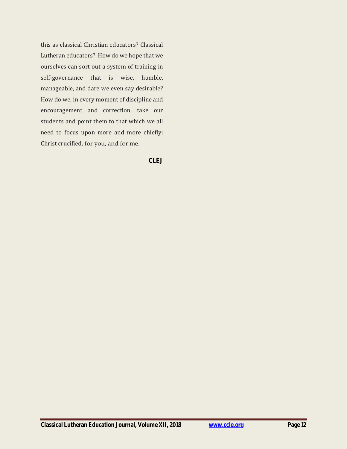this as classical Christian educators? Classical Lutheran educators? How do we hope that we ourselves can sort out a system of training in self-governance that is wise, humble, manageable, and dare we even say desirable? How do we, in every moment of discipline and encouragement and correction, take our students and point them to that which we all need to focus upon more and more chiefly: Christ crucified, for you, and for me.

**CLEJ**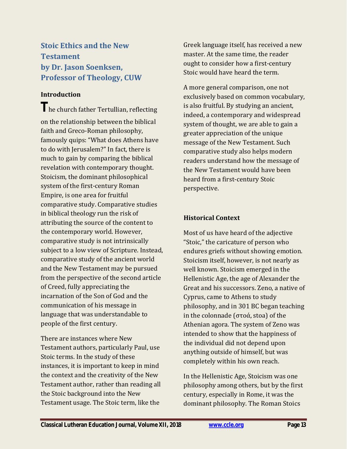<span id="page-12-0"></span>**Stoic Ethics and the New Testament by Dr. Jason Soenksen, Professor of Theology, CUW**

#### **Introduction**

**The church father Tertullian, reflecting** on the relationship between the biblical faith and Greco-Roman philosophy, famously quips: "What does Athens have to do with Jerusalem?" In fact, there is much to gain by comparing the biblical revelation with contemporary thought. Stoicism, the dominant philosophical system of the first-century Roman Empire, is one area for fruitful comparative study. Comparative studies in biblical theology run the risk of attributing the source of the content to the contemporary world. However, comparative study is not intrinsically subject to a low view of Scripture. Instead, comparative study of the ancient world and the New Testament may be pursued from the perspective of the second article of Creed, fully appreciating the incarnation of the Son of God and the communication of his message in language that was understandable to people of the first century.

There are instances where New Testament authors, particularly Paul, use Stoic terms. In the study of these instances, it is important to keep in mind the context and the creativity of the New Testament author, rather than reading all the Stoic background into the New Testament usage. The Stoic term, like the

Greek language itself, has received a new master. At the same time, the reader ought to consider how a first-century Stoic would have heard the term.

A more general comparison, one not exclusively based on common vocabulary, is also fruitful. By studying an ancient, indeed, a contemporary and widespread system of thought, we are able to gain a greater appreciation of the unique message of the New Testament. Such comparative study also helps modern readers understand how the message of the New Testament would have been heard from a first-century Stoic perspective.

#### **Historical Context**

Most of us have heard of the adjective "Stoic," the caricature of person who endures griefs without showing emotion. Stoicism itself, however, is not nearly as well known. Stoicism emerged in the Hellenistic Age, the age of Alexander the Great and his successors. Zeno, a native of Cyprus, came to Athens to study philosophy, and in 301 BC began teaching in the colonnade (στοά, stoa) of the Athenian agora. The system of Zeno was intended to show that the happiness of the individual did not depend upon anything outside of himself, but was completely within his own reach.

In the Hellenistic Age, Stoicism was one philosophy among others, but by the first century, especially in Rome, it was the dominant philosophy. The Roman Stoics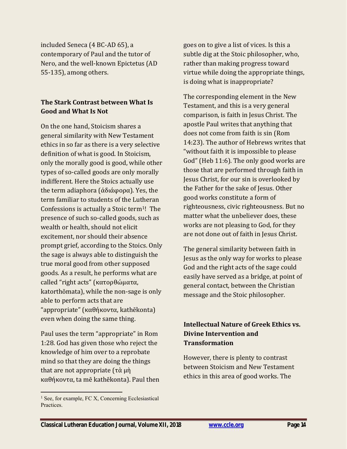included Seneca (4 BC-AD 65), a contemporary of Paul and the tutor of Nero, and the well-known Epictetus (AD 55-135), among others.

#### **The Stark Contrast between What Is Good and What Is Not**

On the one hand, Stoicism shares a general similarity with New Testament ethics in so far as there is a very selective definition of what is good. In Stoicism, only the morally good is good, while other types of so-called goods are only morally indifferent. Here the Stoics actually use the term adiaphora (ἀδιάφορα). Yes, the term familiar to students of the Lutheran Confessions is actually a Stoic term<sup>1</sup>! The presence of such so-called goods, such as wealth or health, should not elicit excitement, nor should their absence prompt grief, according to the Stoics. Only the sage is always able to distinguish the true moral good from other supposed goods. As a result, he performs what are called "right acts" (κατορθώματα, katorthōmata), while the non-sage is only able to perform acts that are "appropriate" (καθήκοντα, kathēkonta) even when doing the same thing.

Paul uses the term "appropriate" in Rom 1:28. God has given those who reject the knowledge of him over to a reprobate mind so that they are doing the things that are not appropriate (τὰ μὴ καθήκοντα, ta mē kathēkonta). Paul then

goes on to give a list of vices. Is this a subtle dig at the Stoic philosopher, who, rather than making progress toward virtue while doing the appropriate things, is doing what is inappropriate?

The corresponding element in the New Testament, and this is a very general comparison, is faith in Jesus Christ. The apostle Paul writes that anything that does not come from faith is sin (Rom 14:23). The author of Hebrews writes that "without faith it is impossible to please God" (Heb 11:6). The only good works are those that are performed through faith in Jesus Christ, for our sin is overlooked by the Father for the sake of Jesus. Other good works constitute a form of righteousness, civic righteousness. But no matter what the unbeliever does, these works are not pleasing to God, for they are not done out of faith in Jesus Christ.

The general similarity between faith in Jesus as the only way for works to please God and the right acts of the sage could easily have served as a bridge, at point of general contact, between the Christian message and the Stoic philosopher.

#### **Intellectual Nature of Greek Ethics vs. Divine Intervention and Transformation**

However, there is plenty to contrast between Stoicism and New Testament ethics in this area of good works. The

<sup>&</sup>lt;sup>1</sup> See, for example, FC X, Concerning Ecclesiastical Practices.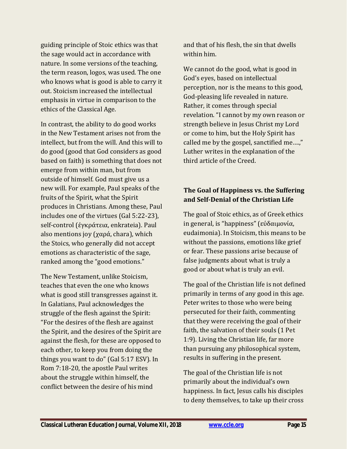guiding principle of Stoic ethics was that the sage would act in accordance with nature. In some versions of the teaching, the term reason, logos, was used. The one who knows what is good is able to carry it out. Stoicism increased the intellectual emphasis in virtue in comparison to the ethics of the Classical Age.

In contrast, the ability to do good works in the New Testament arises not from the intellect, but from the will. And this will to do good (good that God considers as good based on faith) is something that does not emerge from within man, but from outside of himself. God must give us a new will. For example, Paul speaks of the fruits of the Spirit, what the Spirit produces in Christians. Among these, Paul includes one of the virtues (Gal 5:22-23), self-control (ἐγκράτεια, enkrateia). Paul also mentions joy (χαρά, chara), which the Stoics, who generally did not accept emotions as characteristic of the sage, ranked among the "good emotions."

The New Testament, unlike Stoicism, teaches that even the one who knows what is good still transgresses against it. In Galatians, Paul acknowledges the struggle of the flesh against the Spirit: "For the desires of the flesh are against the Spirit, and the desires of the Spirit are against the flesh, for these are opposed to each other, to keep you from doing the things you want to do" (Gal 5:17 ESV). In Rom 7:18-20, the apostle Paul writes about the struggle within himself, the conflict between the desire of his mind

and that of his flesh, the sin that dwells within him.

We cannot do the good, what is good in God's eyes, based on intellectual perception, nor is the means to this good, God-pleasing life revealed in nature. Rather, it comes through special revelation. "I cannot by my own reason or strength believe in Jesus Christ my Lord or come to him, but the Holy Spirit has called me by the gospel, sanctified me….," Luther writes in the explanation of the third article of the Creed.

#### **The Goal of Happiness vs. the Suffering and Self-Denial of the Christian Life**

The goal of Stoic ethics, as of Greek ethics in general, is "happiness" (εὐδαιμονία, eudaimonia). In Stoicism, this means to be without the passions, emotions like grief or fear. These passions arise because of false judgments about what is truly a good or about what is truly an evil.

The goal of the Christian life is not defined primarily in terms of any good in this age. Peter writes to those who were being persecuted for their faith, commenting that they were receiving the goal of their faith, the salvation of their souls (1 Pet 1:9). Living the Christian life, far more than pursuing any philosophical system, results in suffering in the present.

The goal of the Christian life is not primarily about the individual's own happiness. In fact, Jesus calls his disciples to deny themselves, to take up their cross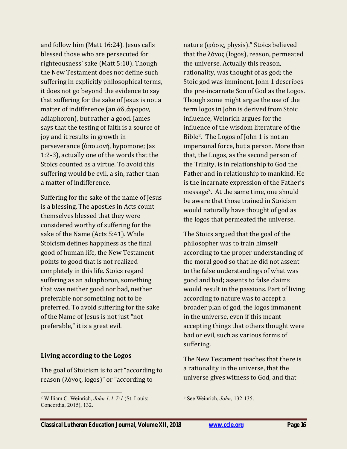and follow him (Matt 16:24). Jesus calls blessed those who are persecuted for righteousness' sake (Matt 5:10). Though the New Testament does not define such suffering in explicitly philosophical terms, it does not go beyond the evidence to say that suffering for the sake of Jesus is not a matter of indifference (an ἀδιάφορον, adiaphoron), but rather a good. James says that the testing of faith is a source of joy and it results in growth in perseverance (ὑπομονή, hypomonē; Jas 1:2-3), actually one of the words that the Stoics counted as a virtue. To avoid this suffering would be evil, a sin, rather than a matter of indifference.

Suffering for the sake of the name of Jesus is a blessing. The apostles in Acts count themselves blessed that they were considered worthy of suffering for the sake of the Name (Acts 5:41). While Stoicism defines happiness as the final good of human life, the New Testament points to good that is not realized completely in this life. Stoics regard suffering as an adiaphoron, something that was neither good nor bad, neither preferable nor something not to be preferred. To avoid suffering for the sake of the Name of Jesus is not just "not preferable," it is a great evil.

#### **Living according to the Logos**

The goal of Stoicism is to act "according to reason (λόγος, logos)" or "according to

nature (φύσις, physis)." Stoics believed that the λόγος (logos), reason, permeated the universe. Actually this reason, rationality, was thought of as god; the Stoic god was imminent. John 1 describes the pre-incarnate Son of God as the Logos. Though some might argue the use of the term logos in John is derived from Stoic influence, Weinrich argues for the influence of the wisdom literature of the Bible2. The Logos of John 1 is not an impersonal force, but a person. More than that, the Logos, as the second person of the Trinity, is in relationship to God the Father and in relationship to mankind. He is the incarnate expression of the Father's message3. At the same time, one should be aware that those trained in Stoicism would naturally have thought of god as the logos that permeated the universe.

The Stoics argued that the goal of the philosopher was to train himself according to the proper understanding of the moral good so that he did not assent to the false understandings of what was good and bad; assents to false claims would result in the passions. Part of living according to nature was to accept a broader plan of god, the logos immanent in the universe, even if this meant accepting things that others thought were bad or evil, such as various forms of suffering.

The New Testament teaches that there is a rationality in the universe, that the universe gives witness to God, and that

<sup>2</sup> William C. Weinrich, *John 1:1-7:1* (St. Louis: Concordia, 2015), 132.

<sup>3</sup> See Weinrich, *John*, 132-135.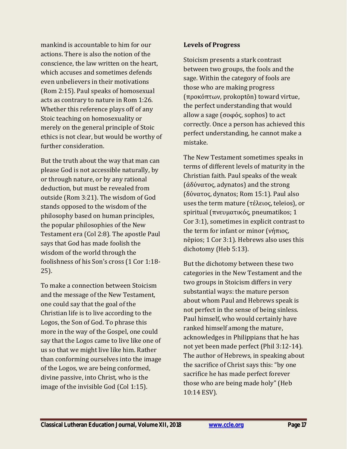mankind is accountable to him for our actions. There is also the notion of the conscience, the law written on the heart, which accuses and sometimes defends even unbelievers in their motivations (Rom 2:15). Paul speaks of homosexual acts as contrary to nature in Rom 1:26. Whether this reference plays off of any Stoic teaching on homosexuality or merely on the general principle of Stoic ethics is not clear, but would be worthy of further consideration.

But the truth about the way that man can please God is not accessible naturally, by or through nature, or by any rational deduction, but must be revealed from outside (Rom 3:21). The wisdom of God stands opposed to the wisdom of the philosophy based on human principles, the popular philosophies of the New Testament era (Col 2:8). The apostle Paul says that God has made foolish the wisdom of the world through the foolishness of his Son's cross (1 Cor 1:18- 25).

To make a connection between Stoicism and the message of the New Testament, one could say that the goal of the Christian life is to live according to the Logos, the Son of God. To phrase this more in the way of the Gospel, one could say that the Logos came to live like one of us so that we might live like him. Rather than conforming ourselves into the image of the Logos, we are being conformed, divine passive, into Christ, who is the image of the invisible God (Col 1:15).

#### **Levels of Progress**

Stoicism presents a stark contrast between two groups, the fools and the sage. Within the category of fools are those who are making progress (προκόπτων, prokoptōn) toward virtue, the perfect understanding that would allow a sage (σοφός, sophos) to act correctly. Once a person has achieved this perfect understanding, he cannot make a mistake.

The New Testament sometimes speaks in terms of different levels of maturity in the Christian faith. Paul speaks of the weak (ἀδύνατος, adynatos) and the strong (δύνατος, dynatos; Rom 15:1). Paul also uses the term mature (τέλειος, teleios), or spiritual (πνευματικός, pneumatikos; 1 Cor 3:1), sometimes in explicit contrast to the term for infant or minor (νήπιος, nēpios; 1 Cor 3:1). Hebrews also uses this dichotomy (Heb 5:13).

But the dichotomy between these two categories in the New Testament and the two groups in Stoicism differs in very substantial ways: the mature person about whom Paul and Hebrews speak is not perfect in the sense of being sinless. Paul himself, who would certainly have ranked himself among the mature, acknowledges in Philippians that he has not yet been made perfect (Phil 3:12-14). The author of Hebrews, in speaking about the sacrifice of Christ says this: "by one sacrifice he has made perfect forever those who are being made holy" (Heb 10:14 ESV).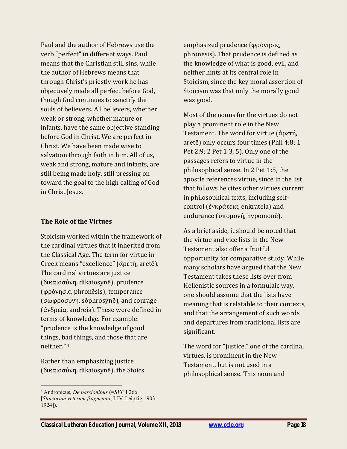Paul and the author of Hebrews use the verb "perfect" in different ways. Paul means that the Christian still sins, while the author of Hebrews means that through Christ's priestly work he has objectively made all perfect before God, though God continues to sanctify the souls of believers. All believers, whether weak or strong, whether mature or infants, have the same objective standing before God in Christ. We are perfect in Christ. We have been made wise to salvation through faith in him. All of us, weak and strong, mature and infants, are still being made holy, still pressing on toward the goal to the high calling of God in Christ Jesus.

#### **The Role of the Virtues**

Stoicism worked within the framework of the cardinal virtues that it inherited from the Classical Age. The term for virtue in Greek means "excellence" (ἀρετή, aretē). The cardinal virtues are justice (δικαιοσύνη, dikaiosynē), prudence (φρόνησις, phronēsis), temperance (σωφροσύνη, sōphrosynē), and courage (ἀνδρεία, andreia). These were defined in terms of knowledge. For example: "prudence is the knowledge of good things, bad things, and those that are neither" 4

Rather than emphasizing justice (δικαιοσύνη, dikaiosynē), the Stoics

 $\overline{a}$ 

emphasized prudence (φρόνησις, phronēsis). That prudence is defined as the knowledge of what is good, evil, and neither hints at its central role in Stoicism, since the key moral assertion of Stoicism was that only the morally good was good.

Most of the nouns for the virtues do not play a prominent role in the New Testament. The word for virtue (ἀρετή, aretē) only occurs four times (Phil 4:8; 1 Pet 2:9; 2 Pet 1:3, 5). Only one of the passages refers to virtue in the philosophical sense. In 2 Pet 1:5, the apostle references virtue, since in the list that follows he cites other virtues current in philosophical texts, including selfcontrol (ἐγκράτεια, enkrateia) and endurance (ὑπομονή, hypomonē).

As a brief aside, it should be noted that the virtue and vice lists in the New Testament also offer a fruitful opportunity for comparative study. While many scholars have argued that the New Testament takes these lists over from Hellenistic sources in a formulaic way, one should assume that the lists have meaning that is relatable to their contexts, and that the arrangement of such words and departures from traditional lists are significant.

The word for "justice," one of the cardinal virtues, is prominent in the New Testament, but is not used in a philosophical sense. This noun and

<sup>4</sup> Andronicus, *De passionibus* (=*SVF* I.266 [*Stoicorum veterum fragmenta*, I-IV, Leipzig 1903- 1924]).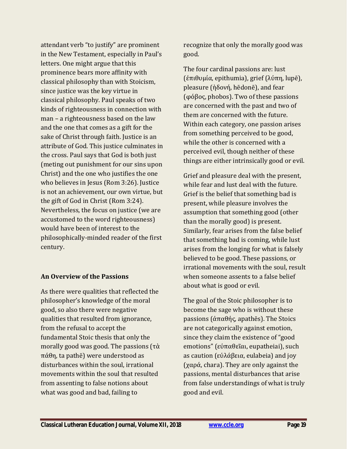attendant verb "to justify" are prominent in the New Testament, especially in Paul's letters. One might argue that this prominence bears more affinity with classical philosophy than with Stoicism, since justice was the key virtue in classical philosophy. Paul speaks of two kinds of righteousness in connection with man – a righteousness based on the law and the one that comes as a gift for the sake of Christ through faith. Justice is an attribute of God. This justice culminates in the cross. Paul says that God is both just (meting out punishment for our sins upon Christ) and the one who justifies the one who believes in Jesus (Rom 3:26). Justice is not an achievement, our own virtue, but the gift of God in Christ (Rom 3:24). Nevertheless, the focus on justice (we are accustomed to the word righteousness) would have been of interest to the philosophically-minded reader of the first century.

#### **An Overview of the Passions**

As there were qualities that reflected the philosopher's knowledge of the moral good, so also there were negative qualities that resulted from ignorance, from the refusal to accept the fundamental Stoic thesis that only the morally good was good. The passions (τὰ πάθη, ta pathē) were understood as disturbances within the soul, irrational movements within the soul that resulted from assenting to false notions about what was good and bad, failing to

recognize that only the morally good was good.

The four cardinal passions are: lust (ἐπιθυμία, epithumia), grief (λύπη, lupē), pleasure (ἡδονή, hēdonē), and fear (φόβος, phobos). Two of these passions are concerned with the past and two of them are concerned with the future. Within each category, one passion arises from something perceived to be good, while the other is concerned with a perceived evil, though neither of these things are either intrinsically good or evil.

Grief and pleasure deal with the present, while fear and lust deal with the future. Grief is the belief that something bad is present, while pleasure involves the assumption that something good (other than the morally good) is present. Similarly, fear arises from the false belief that something bad is coming, while lust arises from the longing for what is falsely believed to be good. These passions, or irrational movements with the soul, result when someone assents to a false belief about what is good or evil.

The goal of the Stoic philosopher is to become the sage who is without these passions (ἀπαθής, apathēs). The Stoics are not categorically against emotion, since they claim the existence of "good emotions" (εύπαθεῖαι, eupatheiai), such as caution (εὐλάβεια, eulabeia) and joy (χαρά, chara). They are only against the passions, mental disturbances that arise from false understandings of what is truly good and evil.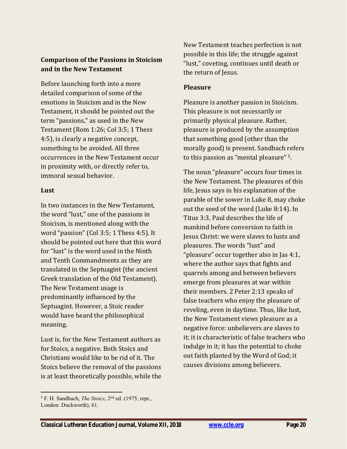#### **Comparison of the Passions in Stoicism and in the New Testament**

Before launching forth into a more detailed comparison of some of the emotions in Stoicism and in the New Testament, it should be pointed out the term "passions," as used in the New Testament (Rom 1:26; Col 3:5; 1 Thess 4:5), is clearly a negative concept, something to be avoided. All three occurrences in the New Testament occur in proximity with, or directly refer to, immoral sexual behavior.

#### **Lust**

In two instances in the New Testament, the word "lust," one of the passions in Stoicism, is mentioned along with the word "passion" (Col 3:5; 1 Thess 4:5). It should be pointed out here that this word for "lust" is the word used in the Ninth and Tenth Commandments as they are translated in the Septuagint (the ancient Greek translation of the Old Testament). The New Testament usage is predominantly influenced by the Septuagint. However, a Stoic reader would have heard the philosophical meaning.

Lust is, for the New Testament authors as for Stoics, a negative. Both Stoics and Christians would like to be rid of it. The Stoics believe the removal of the passions is at least theoretically possible, while the New Testament teaches perfection is not possible in this life; the struggle against "lust," coveting, continues until death or the return of Jesus.

#### **Pleasure**

Pleasure is another passion in Stoicism. This pleasure is not necessarily or primarily physical pleasure. Rather, pleasure is produced by the assumption that something good (other than the morally good) is present. Sandbach refers to this passion as "mental pleasure" <sup>5</sup>.

The noun "pleasure" occurs four times in the New Testament. The pleasures of this life, Jesus says in his explanation of the parable of the sower in Luke 8, may choke out the seed of the word (Luke 8:14). In Titus 3:3, Paul describes the life of mankind before conversion to faith in Jesus Christ: we were slaves to lusts and pleasures. The words "lust" and "pleasure" occur together also in Jas 4:1, where the author says that fights and quarrels among and between believers emerge from pleasures at war within their members. 2 Peter 2:13 speaks of false teachers who enjoy the pleasure of reveling, even in daytime. Thus, like lust, the New Testament views pleasure as a negative force: unbelievers are slaves to it; it is characteristic of false teachers who indulge in it; it has the potential to choke out faith planted by the Word of God; it causes divisions among believers.

<sup>5</sup> F. H. Sandbach, *The Stoics*, 2nd ed. (1975; repr., London: Duckworth), 61.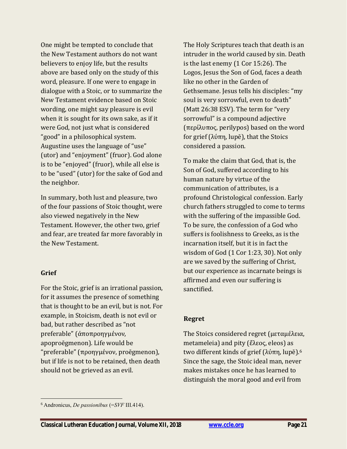One might be tempted to conclude that the New Testament authors do not want believers to enjoy life, but the results above are based only on the study of this word, pleasure. If one were to engage in dialogue with a Stoic, or to summarize the New Testament evidence based on Stoic wording, one might say pleasure is evil when it is sought for its own sake, as if it were God, not just what is considered "good" in a philosophical system. Augustine uses the language of "use" (utor) and "enjoyment" (fruor). God alone is to be "enjoyed" (fruor), while all else is to be "used" (utor) for the sake of God and the neighbor.

In summary, both lust and pleasure, two of the four passions of Stoic thought, were also viewed negatively in the New Testament. However, the other two, grief and fear, are treated far more favorably in the New Testament.

#### **Grief**

 $\overline{a}$ 

For the Stoic, grief is an irrational passion, for it assumes the presence of something that is thought to be an evil, but is not. For example, in Stoicism, death is not evil or bad, but rather described as "not preferable" (ἀποπροηγμένον, apoproēgmenon). Life would be "preferable" (προηγμένον, proēgmenon), but if life is not to be retained, then death should not be grieved as an evil.

The Holy Scriptures teach that death is an intruder in the world caused by sin. Death is the last enemy (1 Cor 15:26). The Logos, Jesus the Son of God, faces a death like no other in the Garden of Gethsemane. Jesus tells his disciples: "my soul is very sorrowful, even to death" (Matt 26:38 ESV). The term for "very sorrowful" is a compound adjective (περίλυπος, perilypos) based on the word for grief (λύπη, lupē), that the Stoics considered a passion.

To make the claim that God, that is, the Son of God, suffered according to his human nature by virtue of the communication of attributes, is a profound Christological confession. Early church fathers struggled to come to terms with the suffering of the impassible God. To be sure, the confession of a God who suffers is foolishness to Greeks, as is the incarnation itself, but it is in fact the wisdom of God (1 Cor 1:23, 30). Not only are we saved by the suffering of Christ, but our experience as incarnate beings is affirmed and even our suffering is sanctified.

#### **Regret**

The Stoics considered regret (μεταμέλεια, metameleia) and pity (ἔλεος, eleos) as two different kinds of grief (λύπη, lupē).<sup>6</sup> Since the sage, the Stoic ideal man, never makes mistakes once he has learned to distinguish the moral good and evil from

<sup>6</sup> Andronicus, *De passionibus* (=*SVF* III.414).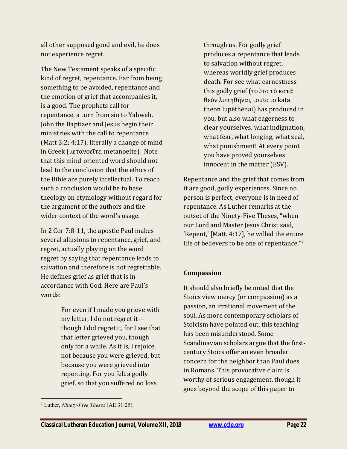all other supposed good and evil, he does not experience regret.

The New Testament speaks of a specific kind of regret, repentance. Far from being something to be avoided, repentance and the emotion of grief that accompanies it, is a good. The prophets call for repentance, a turn from sin to Yahweh. John the Baptizer and Jesus begin their ministries with the call to repentance (Matt 3:2; 4:17), literally a change of mind in Greek (μετανοεῖτε, metanoeite). Note that this mind-oriented word should not lead to the conclusion that the ethics of the Bible are purely intellectual. To reach such a conclusion would be to base theology on etymology without regard for the argument of the authors and the wider context of the word's usage.

In 2 Cor 7:8-11, the apostle Paul makes several allusions to repentance, grief, and regret, actually playing on the word regret by saying that repentance leads to salvation and therefore is not regrettable. He defines grief as grief that is in accordance with God. Here are Paul's words:

> For even if I made you grieve with my letter, I do not regret it though I did regret it, for I see that that letter grieved you, though only for a while. As it is, I rejoice, not because you were grieved, but because you were grieved into repenting. For you felt a godly grief, so that you suffered no loss

through us. For godly grief produces a repentance that leads to salvation without regret, whereas worldly grief produces death. For see what earnestness this godly grief (τοῦτο τὸ κατὰ θεὸν λυπηθῆναι, touto to kata theon lupēthēnai) has produced in you, but also what eagerness to clear yourselves, what indignation, what fear, what longing, what zeal, what punishment! At every point you have proved yourselves innocent in the matter (ESV).

Repentance and the grief that comes from it are good, godly experiences. Since no person is perfect, everyone is in need of repentance. As Luther remarks at the outset of the Ninety-Five Theses, "when our Lord and Master Jesus Christ said, 'Repent,' [Matt. 4:17], he willed the entire life of believers to be one of repentance."<sup>7</sup>

#### **Compassion**

It should also briefly be noted that the Stoics view mercy (or compassion) as a passion, an irrational movement of the soul. As more contemporary scholars of Stoicism have pointed out, this teaching has been misunderstood. Some Scandinavian scholars argue that the firstcentury Stoics offer an even broader concern for the neighbor than Paul does in Romans. This provocative claim is worthy of serious engagement, though it goes beyond the scope of this paper to

 $\overline{a}$ <sup>7</sup> Luther, *Ninety-Five Theses* (AE 31:25).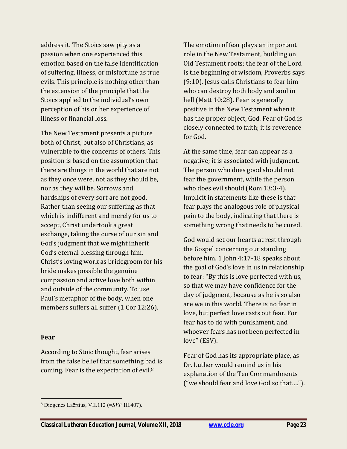address it. The Stoics saw pity as a passion when one experienced this emotion based on the false identification of suffering, illness, or misfortune as true evils. This principle is nothing other than the extension of the principle that the Stoics applied to the individual's own perception of his or her experience of illness or financial loss.

The New Testament presents a picture both of Christ, but also of Christians, as vulnerable to the concerns of others. This position is based on the assumption that there are things in the world that are not as they once were, not as they should be, nor as they will be. Sorrows and hardships of every sort are not good. Rather than seeing our suffering as that which is indifferent and merely for us to accept, Christ undertook a great exchange, taking the curse of our sin and God's judgment that we might inherit God's eternal blessing through him. Christ's loving work as bridegroom for his bride makes possible the genuine compassion and active love both within and outside of the community. To use Paul's metaphor of the body, when one members suffers all suffer (1 Cor 12:26).

#### **Fear**

 $\overline{a}$ 

According to Stoic thought, fear arises from the false belief that something bad is coming. Fear is the expectation of evil.<sup>8</sup>

The emotion of fear plays an important role in the New Testament, building on Old Testament roots: the fear of the Lord is the beginning of wisdom, Proverbs says (9:10). Jesus calls Christians to fear him who can destroy both body and soul in hell (Matt 10:28). Fear is generally positive in the New Testament when it has the proper object, God. Fear of God is closely connected to faith; it is reverence for God.

At the same time, fear can appear as a negative; it is associated with judgment. The person who does good should not fear the government, while the person who does evil should (Rom 13:3-4). Implicit in statements like these is that fear plays the analogous role of physical pain to the body, indicating that there is something wrong that needs to be cured.

God would set our hearts at rest through the Gospel concerning our standing before him. 1 John 4:17-18 speaks about the goal of God's love in us in relationship to fear: "By this is love perfected with us, so that we may have confidence for the day of judgment, because as he is so also are we in this world. There is no fear in love, but perfect love casts out fear. For fear has to do with punishment, and whoever fears has not been perfected in love" (ESV).

Fear of God has its appropriate place, as Dr. Luther would remind us in his explanation of the Ten Commandments ("we should fear and love God so that….").

<sup>8</sup> Diogenes Laërtius, VII.112 (=*SVF* III.407).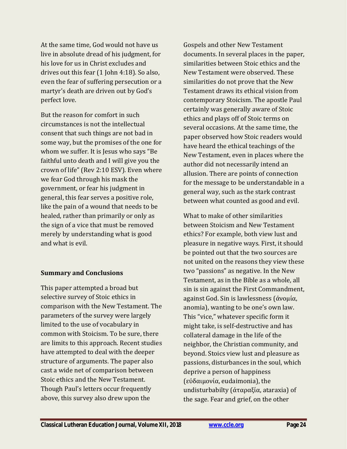At the same time, God would not have us live in absolute dread of his judgment, for his love for us in Christ excludes and drives out this fear (1 John 4:18). So also, even the fear of suffering persecution or a martyr's death are driven out by God's perfect love.

But the reason for comfort in such circumstances is not the intellectual consent that such things are not bad in some way, but the promises of the one for whom we suffer. It is Jesus who says "Be faithful unto death and I will give you the crown of life" (Rev 2:10 ESV). Even where we fear God through his mask the government, or fear his judgment in general, this fear serves a positive role, like the pain of a wound that needs to be healed, rather than primarily or only as the sign of a vice that must be removed merely by understanding what is good and what is evil.

#### **Summary and Conclusions**

This paper attempted a broad but selective survey of Stoic ethics in comparison with the New Testament. The parameters of the survey were largely limited to the use of vocabulary in common with Stoicism. To be sure, there are limits to this approach. Recent studies have attempted to deal with the deeper structure of arguments. The paper also cast a wide net of comparison between Stoic ethics and the New Testament. Though Paul's letters occur frequently above, this survey also drew upon the

Gospels and other New Testament documents. In several places in the paper, similarities between Stoic ethics and the New Testament were observed. These similarities do not prove that the New Testament draws its ethical vision from contemporary Stoicism. The apostle Paul certainly was generally aware of Stoic ethics and plays off of Stoic terms on several occasions. At the same time, the paper observed how Stoic readers would have heard the ethical teachings of the New Testament, even in places where the author did not necessarily intend an allusion. There are points of connection for the message to be understandable in a general way, such as the stark contrast between what counted as good and evil.

What to make of other similarities between Stoicism and New Testament ethics? For example, both view lust and pleasure in negative ways. First, it should be pointed out that the two sources are not united on the reasons they view these two "passions" as negative. In the New Testament, as in the Bible as a whole, all sin is sin against the First Commandment, against God. Sin is lawlessness (ἀνομία, anomia), wanting to be one's own law. This "vice," whatever specific form it might take, is self-destructive and has collateral damage in the life of the neighbor, the Christian community, and beyond. Stoics view lust and pleasure as passions, disturbances in the soul, which deprive a person of happiness (εὐδαιμονία, eudaimonia), the undisturbabilty (ἀταραξία, ataraxia) of the sage. Fear and grief, on the other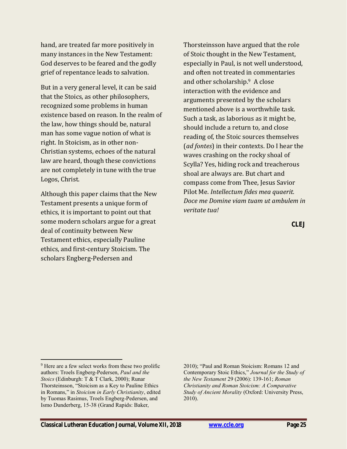hand, are treated far more positively in many instances in the New Testament: God deserves to be feared and the godly grief of repentance leads to salvation.

But in a very general level, it can be said that the Stoics, as other philosophers, recognized some problems in human existence based on reason. In the realm of the law, how things should be, natural man has some vague notion of what is right. In Stoicism, as in other non-Christian systems, echoes of the natural law are heard, though these convictions are not completely in tune with the true Logos, Christ.

Although this paper claims that the New Testament presents a unique form of ethics, it is important to point out that some modern scholars argue for a great deal of continuity between New Testament ethics, especially Pauline ethics, and first-century Stoicism. The scholars Engberg-Pedersen and

Thorsteinsson have argued that the role of Stoic thought in the New Testament, especially in Paul, is not well understood, and often not treated in commentaries and other scholarship.9 A close interaction with the evidence and arguments presented by the scholars mentioned above is a worthwhile task. Such a task, as laborious as it might be, should include a return to, and close reading of, the Stoic sources themselves (*ad fontes*) in their contexts. Do I hear the waves crashing on the rocky shoal of Scylla? Yes, hiding rock and treacherous shoal are always are. But chart and compass come from Thee, Jesus Savior Pilot Me. *Intellectum fides mea quaerit. Doce me Domine viam tuam ut ambulem in veritate tua!* 

**CLEJ**

 $\overline{a}$ <sup>9</sup> Here are a few select works from these two prolific authors: Troels Engberg-Pedersen, *Paul and the Stoics* (Edinburgh: T & T Clark, 2000); Runar Thorsteinsson, "Stoicism as a Key to Pauline Ethics in Romans," in *Stoicism in Early Christianity*, edited by Tuomas Rasimus, Troels Engberg-Pedersen, and Ismo Dunderberg, 15-38 (Grand Rapids: Baker,

<sup>2010); &</sup>quot;Paul and Roman Stoicism: Romans 12 and Contemporary Stoic Ethics," *Journal for the Study of the New Testament* 29 (2006): 139-161; *Roman Christianity and Roman Stoicism: A Comparative Study of Ancient Morality* (Oxford: University Press, 2010).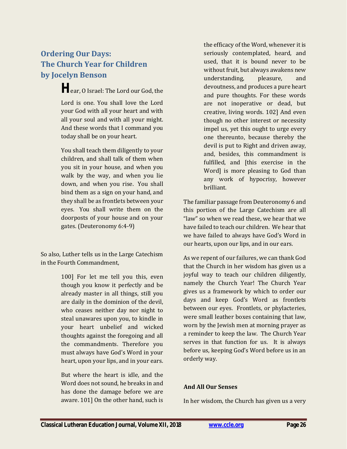## <span id="page-25-0"></span>**Ordering Our Days: The Church Year for Children by Jocelyn Benson**

**H**ear, O Israel: The Lord our God, the Lord is one. You shall love the Lord your God with all your heart and with all your soul and with all your might. And these words that I command you today shall be on your heart.

You shall teach them diligently to your children, and shall talk of them when you sit in your house, and when you walk by the way, and when you lie down, and when you rise. You shall bind them as a sign on your hand, and they shall be as frontlets between your eyes. You shall write them on the doorposts of your house and on your gates. (Deuteronomy 6:4-9)

So also, Luther tells us in the Large Catechism in the Fourth Commandment,

> 100] For let me tell you this, even though you know it perfectly and be already master in all things, still you are daily in the dominion of the devil, who ceases neither day nor night to steal unawares upon you, to kindle in your heart unbelief and wicked thoughts against the foregoing and all the commandments. Therefore you must always have God's Word in your heart, upon your lips, and in your ears.

> But where the heart is idle, and the Word does not sound, he breaks in and has done the damage before we are aware. 101] On the other hand, such is

the efficacy of the Word, whenever it is seriously contemplated, heard, and used, that it is bound never to be without fruit, but always awakens new understanding, pleasure, and devoutness, and produces a pure heart and pure thoughts. For these words are not inoperative or dead, but creative, living words. 102] And even though no other interest or necessity impel us, yet this ought to urge every one thereunto, because thereby the devil is put to Right and driven away, and, besides, this commandment is fulfilled, and [this exercise in the Word] is more pleasing to God than any work of hypocrisy, however brilliant.

The familiar passage from Deuteronomy 6 and this portion of the Large Catechism are all "law" so when we read these, we hear that we have failed to teach our children. We hear that we have failed to always have God's Word in our hearts, upon our lips, and in our ears.

As we repent of our failures, we can thank God that the Church in her wisdom has given us a joyful way to teach our children diligently, namely the Church Year! The Church Year gives us a framework by which to order our days and keep God's Word as frontlets between our eyes. Frontlets, or phylacteries, were small leather boxes containing that law, worn by the Jewish men at morning prayer as a reminder to keep the law. The Church Year serves in that function for us. It is always before us, keeping God's Word before us in an orderly way.

#### **And All Our Senses**

In her wisdom, the Church has given us a very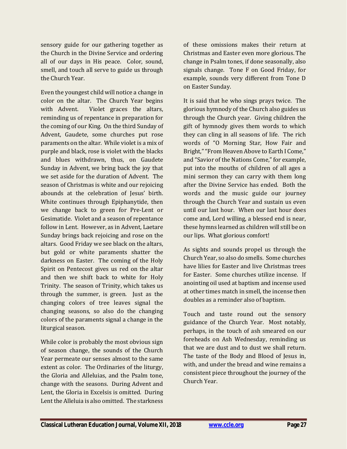sensory guide for our gathering together as the Church in the Divine Service and ordering all of our days in His peace. Color, sound, smell, and touch all serve to guide us through the Church Year.

Even the youngest child will notice a change in color on the altar. The Church Year begins with Advent. Violet graces the altars, reminding us of repentance in preparation for the coming of our King. On the third Sunday of Advent, Gaudete, some churches put rose paraments on the altar. While violet is a mix of purple and black, rose is violet with the blacks and blues withdrawn, thus, on Gaudete Sunday in Advent, we bring back the joy that we set aside for the duration of Advent. The season of Christmas is white and our rejoicing abounds at the celebration of Jesus' birth. White continues through Epiphanytide, then we change back to green for Pre-Lent or Gesimatide. Violet and a season of repentance follow in Lent. However, as in Advent, Laetare Sunday brings back rejoicing and rose on the altars. Good Friday we see black on the altars, but gold or white paraments shatter the darkness on Easter. The coming of the Holy Spirit on Pentecost gives us red on the altar and then we shift back to white for Holy Trinity. The season of Trinity, which takes us through the summer, is green. Just as the changing colors of tree leaves signal the changing seasons, so also do the changing colors of the paraments signal a change in the liturgical season.

While color is probably the most obvious sign of season change, the sounds of the Church Year permeate our senses almost to the same extent as color. The Ordinaries of the liturgy, the Gloria and Alleluias, and the Psalm tone, change with the seasons. During Advent and Lent, the Gloria in Excelsis is omitted. During Lent the Alleluia is also omitted. The starkness

of these omissions makes their return at Christmas and Easter even more glorious. The change in Psalm tones, if done seasonally, also signals change. Tone F on Good Friday, for example, sounds very different from Tone D on Easter Sunday.

It is said that he who sings prays twice. The glorious hymnody of the Church also guides us through the Church year. Giving children the gift of hymnody gives them words to which they can cling in all seasons of life. The rich words of "O Morning Star, How Fair and Bright," "From Heaven Above to Earth I Come," and "Savior of the Nations Come," for example, put into the mouths of children of all ages a mini sermon they can carry with them long after the Divine Service has ended. Both the words and the music guide our journey through the Church Year and sustain us even until our last hour. When our last hour does come and, Lord willing, a blessed end is near, these hymns learned as children will still be on our lips. What glorious comfort!

As sights and sounds propel us through the Church Year, so also do smells. Some churches have lilies for Easter and live Christmas trees for Easter. Some churches utilize incense. If anointing oil used at baptism and incense used at other times match in smell, the incense then doubles as a reminder also of baptism.

Touch and taste round out the sensory guidance of the Church Year. Most notably, perhaps, in the touch of ash smeared on our foreheads on Ash Wednesday, reminding us that we are dust and to dust we shall return. The taste of the Body and Blood of Jesus in, with, and under the bread and wine remains a consistent piece throughout the journey of the Church Year.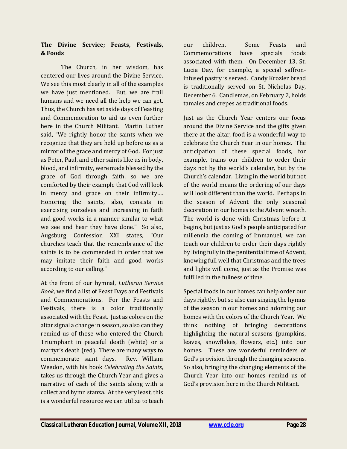#### **The Divine Service; Feasts, Festivals, & Foods**

The Church, in her wisdom, has centered our lives around the Divine Service. We see this most clearly in all of the examples we have just mentioned. But, we are frail humans and we need all the help we can get. Thus, the Church has set aside days of Feasting and Commemoration to aid us even further here in the Church Militant. Martin Luther said, "We rightly honor the saints when we recognize that they are held up before us as a mirror of the grace and mercy of God. For just as Peter, Paul, and other saints like us in body, blood, and infirmity, were made blessed by the grace of God through faith, so we are comforted by their example that God will look in mercy and grace on their infirmity…. Honoring the saints, also, consists in exercising ourselves and increasing in faith and good works in a manner similar to what we see and hear they have done." So also, Augsburg Confession XXI states, "Our churches teach that the remembrance of the saints is to be commended in order that we may imitate their faith and good works according to our calling."

At the front of our hymnal, *Lutheran Service Book,* we find a list of Feast Days and Festivals and Commemorations. For the Feasts and Festivals, there is a color traditionally associated with the Feast. Just as colors on the altar signal a change in season, so also can they remind us of those who entered the Church Triumphant in peaceful death (white) or a martyr's death (red). There are many ways to commemorate saint days. Rev. William Weedon, with his book *Celebrating the Saints*, takes us through the Church Year and gives a narrative of each of the saints along with a collect and hymn stanza. At the very least, this is a wonderful resource we can utilize to teach

our children. Some Feasts and Commemorations have specials foods associated with them. On December 13, St. Lucia Day, for example, a special saffroninfused pastry is served. Candy Krozier bread is traditionally served on St. Nicholas Day, December 6. Candlemas, on February 2, holds tamales and crepes as traditional foods.

Just as the Church Year centers our focus around the Divine Service and the gifts given there at the altar, food is a wonderful way to celebrate the Church Year in our homes. The anticipation of these special foods, for example, trains our children to order their days not by the world's calendar, but by the Church's calendar. Living in the world but not of the world means the ordering of our days will look different than the world. Perhaps in the season of Advent the only seasonal decoration in our homes is the Advent wreath. The world is done with Christmas before it begins, but just as God's people anticipated for millennia the coming of Immanuel, we can teach our children to order their days rightly by living fully in the penitential time of Advent, knowing full well that Christmas and the trees and lights will come, just as the Promise was fulfilled in the fullness of time.

Special foods in our homes can help order our days rightly, but so also can singing the hymns of the season in our homes and adorning our homes with the colors of the Church Year. We think nothing of bringing decorations highlighting the natural seasons (pumpkins, leaves, snowflakes, flowers, etc.) into our homes. These are wonderful reminders of God's provision through the changing seasons. So also, bringing the changing elements of the Church Year into our homes remind us of God's provision here in the Church Militant.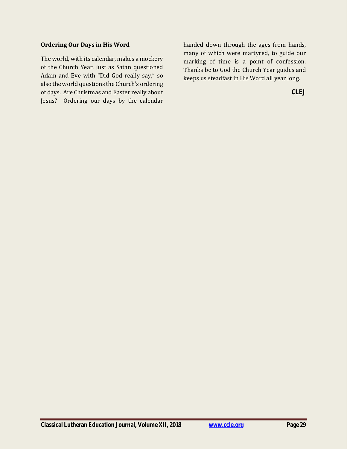#### **Ordering Our Days in His Word**

The world, with its calendar, makes a mockery of the Church Year. Just as Satan questioned Adam and Eve with "Did God really say," so also the world questions the Church's ordering of days. Are Christmas and Easter really about Jesus? Ordering our days by the calendar

handed down through the ages from hands, many of which were martyred, to guide our marking of time is a point of confession. Thanks be to God the Church Year guides and keeps us steadfast in His Word all year long.

**CLEJ**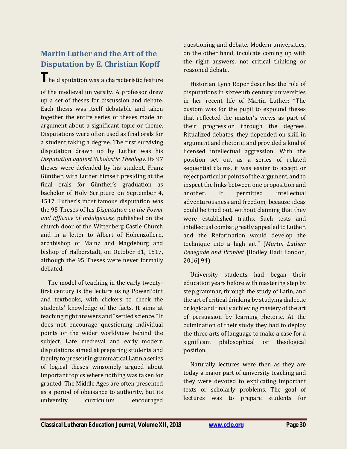# <span id="page-29-0"></span>**Martin Luther and the Art of the Disputation by E. Christian Kopff**

**T**he disputation was a characteristic feature of the medieval university. A professor drew up a set of theses for discussion and debate. Each thesis was itself debatable and taken together the entire series of theses made an argument about a significant topic or theme. Disputations were often used as final orals for a student taking a degree. The first surviving disputation drawn up by Luther was his *Disputation against Scholastic Theology*. Its 97 theses were defended by his student, Franz Günther, with Luther himself presiding at the final orals for Günther's graduation as bachelor of Holy Scripture on September 4, 1517. Luther's most famous disputation was the 95 Theses of his *Disputation on the Power and Efficacy of Indulgences*, published on the church door of the Wittenberg Castle Church and in a letter to Albert of Hohenzollern, archbishop of Mainz and Magdeburg and bishop of Halberstadt, on October 31, 1517, although the 95 Theses were never formally debated.

 The model of teaching in the early twentyfirst century is the lecture using PowerPoint and textbooks, with clickers to check the students' knowledge of the facts. It aims at teaching right answers and "settled science." It does not encourage questioning individual points or the wider worldview behind the subject. Late medieval and early modern disputations aimed at preparing students and faculty to present in grammatical Latin a series of logical theses winsomely argued about important topics where nothing was taken for granted. The Middle Ages are often presented as a period of obeisance to authority, but its university curriculum encouraged

questioning and debate. Modern universities, on the other hand, inculcate coming up with the right answers, not critical thinking or reasoned debate.

 Historian Lynn Roper describes the role of disputations in sixteenth century universities in her recent life of Martin Luther: "The custom was for the pupil to expound theses that reflected the master's views as part of their progression through the degrees. Ritualized debates, they depended on skill in argument and rhetoric, and provided a kind of licensed intellectual aggression. With the position set out as a series of related sequential claims, it was easier to accept or reject particular points of the argument, and to inspect the links between one proposition and another. It permitted intellectual adventurousness and freedom, because ideas could be tried out, without claiming that they were established truths. Such tests and intellectual combat greatly appealed to Luther, and the Reformation would develop the technique into a high art." (*Martin Luther: Renegade and Prophet* [Bodley Had: London, 2016] 94)

 University students had began their education years before with mastering step by step grammar, through the study of Latin, and the art of critical thinking by studying dialectic or logic and finally achieving mastery of the art of persuasion by learning rhetoric. At the culmination of their study they had to deploy the three arts of language to make a case for a significant philosophical or theological position.

 Naturally lectures were then as they are today a major part of university teaching and they were devoted to explicating important texts or scholarly problems. The goal of lectures was to prepare students for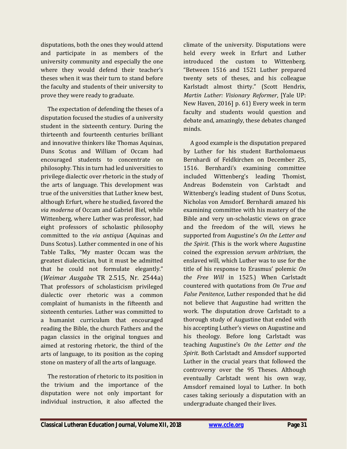disputations, both the ones they would attend and participate in as members of the university community and especially the one where they would defend their teacher's theses when it was their turn to stand before the faculty and students of their university to prove they were ready to graduate.

 The expectation of defending the theses of a disputation focused the studies of a university student in the sixteenth century. During the thirteenth and fourteenth centuries brilliant and innovative thinkers like Thomas Aquinas, Duns Scotus and William of Occam had encouraged students to concentrate on philosophy. This in turn had led universities to privilege dialectic over rhetoric in the study of the arts of language. This development was true of the universities that Luther knew best, although Erfurt, where he studied, favored the *via moderna* of Occam and Gabriel Biel, while Wittenberg, where Luther was professor, had eight professors of scholastic philosophy committed to the *via antiqua* (Aquinas and Duns Scotus). Luther commented in one of his Table Talks, "My master Occam was the greatest dialectician, but it must be admitted that he could not formulate elegantly." (*Weimar Ausgabe* TR 2.515, Nr. 2544a) That professors of scholasticism privileged dialectic over rhetoric was a common complaint of humanists in the fifteenth and sixteenth centuries. Luther was committed to a humanist curriculum that encouraged reading the Bible, the church Fathers and the pagan classics in the original tongues and aimed at restoring rhetoric, the third of the arts of language, to its position as the coping stone on mastery of all the arts of language.

 The restoration of rhetoric to its position in the trivium and the importance of the disputation were not only important for individual instruction, it also affected the

climate of the university. Disputations were held every week in Erfurt and Luther introduced the custom to Wittenberg. "Between 1516 and 1521 Luther prepared twenty sets of theses, and his colleague Karlstadt almost thirty." (Scott Hendrix, *Martin Luther: Visionary Reformer*, [Yale UP: New Haven, 2016] p. 61) Every week in term faculty and students would question and debate and, amazingly, these debates changed minds.

 A good example is the disputation prepared by Luther for his student Bartholomaeus Bernhardi of Feldkirchen on December 25, 1516. Bernhardi's examining committee included Wittenberg's leading Thomist, Andreas Bodenstein von Carlstadt and Wittenberg's leading student of Duns Scotus, Nicholas von Amsdorf. Bernhardi amazed his examining committee with his mastery of the Bible and very un-scholastic views on grace and the freedom of the will, views he supported from Augustine's *On the Letter and the Spirit*. (This is the work where Augustine coined the expression *servum arbitrium*, the enslaved will, which Luther was to use for the title of his response to Erasmus' polemic *On the Free Will* in 1525.) When Carlstadt countered with quotations from *On True and False Penitence*, Luther responded that he did not believe that Augustine had written the work. The disputation drove Carlstadt to a thorough study of Augustine that ended with his accepting Luther's views on Augustine and his theology. Before long Carlstadt was teaching Augustine's *On the Letter and the Spirit*. Both Carlstadt and Amsdorf supported Luther in the crucial years that followed the controversy over the 95 Theses. Although eventually Carlstadt went his own way, Amsdorf remained loyal to Luther. In both cases taking seriously a disputation with an undergraduate changed their lives.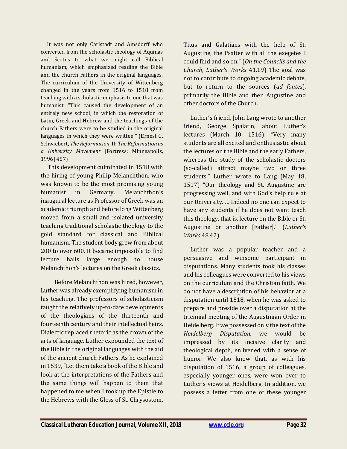It was not only Carlstadt and Amsdorff who converted from the scholastic theology of Aquinas and Scotus to what we might call Biblical humanism, which emphasized reading the Bible and the church Fathers in the original languages. The curriculum of the University of Wittenberg changed in the years from 1516 to 1518 from teaching with a scholastic emphasis to one that was humanist. "This caused the development of an entirely new school, in which the restoration of Latin, Greek and Hebrew and the teachings of the church Fathers were to be studied in the original languages in which they were written." (Ernest G. Schwiebert, *The Reformation*, II: *The Reformation as a University Movement* [Fortress: Minneapolis, 1996] 457)

 This development culminated in 1518 with the hiring of young Philip Melanchthon, who was known to be the most promising young humanist in Germany. Melanchthon's inaugural lecture as Professor of Greek was an academic triumph and before long Wittenberg moved from a small and isolated university teaching traditional scholastic theology to the gold standard for classical and Biblical humanism. The student body grew from about 200 to over 600. It became impossible to find lecture halls large enough to house Melanchthon's lectures on the Greek classics.

 Before Melanchthon was hired, however, Luther was already exemplifying humanism in his teaching. The professors of scholasticism taught the relatively up-to-date developments of the theologians of the thirteenth and fourteenth century and their intellectual heirs. Dialectic replaced rhetoric as the crown of the arts of language. Luther expounded the text of the Bible in the original languages with the aid of the ancient church Fathers. As he explained in 1539, "Let them take a book of the Bible and look at the interpretations of the Fathers and the same things will happen to them that happened to me when I took up the Epistle to the Hebrews with the Gloss of St. Chrysostom,

Titus and Galatians with the help of St. Augustine, the Psalter with all the exegetes I could find and so on." (*On the Councils and the Church*, *Luther's Works* 41.19) The goal was not to contribute to ongoing academic debate, but to return to the sources (*ad fontes*), primarily the Bible and then Augustine and other doctors of the Church.

 Luther's friend, John Lang wrote to another friend, George Spalatin, about Luther's lectures (March 10, 1516): "Very many students are all excited and enthusiastic about the lectures on the Bible and the early Fathers, whereas the study of the scholastic doctors (so-called) attract maybe two or three students." Luther wrote to Lang (May 18, 1517) "Our theology and St. Augustine are progressing well, and with God's help rule at our University. … Indeed no one can expect to have any students if he does not want teach this theology, that is, lecture on the Bible or St. Augustine or another [Father]." (*Luther's Works* 48.42)

 Luther was a popular teacher and a persuasive and winsome participant in disputations. Many students took his classes and his colleagues were converted to his views on the curriculum and the Christian faith. We do not have a description of his behavior at a disputation until 1518, when he was asked to prepare and preside over a disputation at the triennial meeting of the Augustinian Order in Heidelberg. If we possessed only the text of the *Heidelberg Disputation*, we would be impressed by its incisive clarity and theological depth, enlivened with a sense of humor. We also know that, as with his disputation of 1516, a group of colleagues, especially younger ones, were won over to Luther's views at Heidelberg. In addition, we possess a letter from one of these younger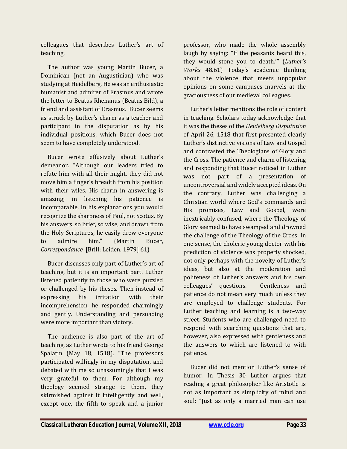colleagues that describes Luther's art of teaching.

 The author was young Martin Bucer, a Dominican (not an Augustinian) who was studying at Heidelberg. He was an enthusiastic humanist and admirer of Erasmus and wrote the letter to Beatus Rhenanus (Beatus Bild), a friend and assistant of Erasmus. Bucer seems as struck by Luther's charm as a teacher and participant in the disputation as by his individual positions, which Bucer does not seem to have completely understood.

 Bucer wrote effusively about Luther's demeanor. "Although our leaders tried to refute him with all their might, they did not move him a finger's breadth from his position with their wiles. His charm in answering is amazing; in listening his patience is incomparable. In his explanations you would recognize the sharpness of Paul, not Scotus. By his answers, so brief, so wise, and drawn from the Holy Scriptures, he easily drew everyone to admire him." (Martin Bucer, *Correspondance* [Brill: Leiden, 1979] 61)

 Bucer discusses only part of Luther's art of teaching, but it is an important part. Luther listened patiently to those who were puzzled or challenged by his theses. Then instead of expressing his irritation with their incomprehension, he responded charmingly and gently. Understanding and persuading were more important than victory.

 The audience is also part of the art of teaching, as Luther wrote to his friend George Spalatin (May 18, 1518). "The professors participated willingly in my disputation, and debated with me so unassumingly that I was very grateful to them. For although my theology seemed strange to them, they skirmished against it intelligently and well, except one, the fifth to speak and a junior

professor, who made the whole assembly laugh by saying: "If the peasants heard this, they would stone you to death.'" (*Luther's Works* 48.61) Today's academic thinking about the violence that meets unpopular opinions on some campuses marvels at the graciousness of our medieval colleagues.

 Luther's letter mentions the role of content in teaching. Scholars today acknowledge that it was the theses of the *Heidelberg Disputation* of April 26, 1518 that first presented clearly Luther's distinctive visions of Law and Gospel and contrasted the Theologians of Glory and the Cross. The patience and charm of listening and responding that Bucer noticed in Luther was not part of a presentation of uncontroversial and widely accepted ideas. On the contrary, Luther was challenging a Christian world where God's commands and His promises, Law and Gospel, were inextricably confused, where the Theology of Glory seemed to have swamped and drowned the challenge of the Theology of the Cross. In one sense, the choleric young doctor with his prediction of violence was properly shocked, not only perhaps with the novelty of Luther's ideas, but also at the moderation and politeness of Luther's answers and his own colleagues' questions. Gentleness and patience do not mean very much unless they are employed to challenge students. For Luther teaching and learning is a two-way street. Students who are challenged need to respond with searching questions that are, however, also expressed with gentleness and the answers to which are listened to with patience.

 Bucer did not mention Luther's sense of humor. In Thesis 30 Luther argues that reading a great philosopher like Aristotle is not as important as simplicity of mind and soul: "Just as only a married man can use